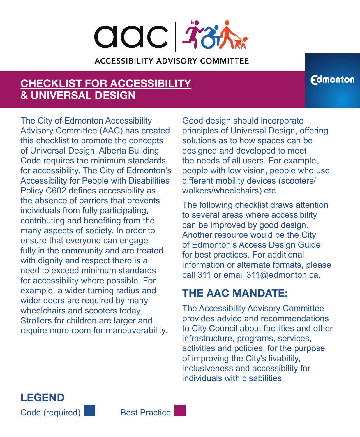# **adc Fight ACCESSIBILITY ADVISORY COMMITTEE**

#### **[CHECKLIST FOR ACCESSIBILITY](https://www.edmonton.ca/sites/default/files/public-files/assets/PDF/ChecklistAccessibilityUniversalDesign.pdf?cb=1631580961) [& UNIVERSAL DESIGN](https://www.edmonton.ca/sites/default/files/public-files/assets/PDF/ChecklistAccessibilityUniversalDesign.pdf?cb=1631580961)**

The City of Edmonton Accessibility Advisory Committee (AAC) has created this checklist to promote the concepts of Universal Design. Alberta Building Code requires the minimum standards for accessibility. The City of Edmonton's [Accessibility for People with Disabilities](https://www.edmonton.ca/city_government/initiatives_innovation/city-accessibility-policy)  [Policy C602](https://www.edmonton.ca/city_government/initiatives_innovation/city-accessibility-policy) defines accessibility as the absence of barriers that prevents individuals from fully participating, contributing and benefiting from the many aspects of society. In order to ensure that everyone can engage fully in the community and are treated with dignity and respect there is a need to exceed minimum standards for accessibility where possible. For example, a wider turning radius and wider doors are required by many wheelchairs and scooters today. Strollers for children are larger and require more room for maneuverability.

Good design should incorporate principles of Universal Design, offering solutions as to how spaces can be designed and developed to meet the needs of all users. For example, people with low vision, people who use different mobility devices (scooters/ walkers/wheelchairs) etc.

The following checklist draws attention to several areas where accessibility can be improved by good design. Another resource would be the City of Edmonton's [Access Design Guide](https://www.edmonton.ca/sites/default/files/public-files/assets/PDF/AFE-AccessDesignGuide.pdf) for best practices. For additional information or alternate formats, please call 311 or email [311@edmonton.ca.](mailto:311@edmonton.ca)

#### **THE AAC MANDATE:**

The Accessibility Advisory Committee provides advice and recommendations to City Council about facilities and other infrastructure, programs, services, activities and policies, for the purpose of improving the City's livability, inclusiveness and accessibility for individuals with disabilities.



Best Practice

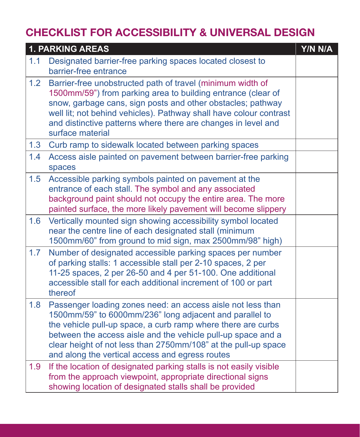|     | <b>1. PARKING AREAS</b>                                                                                                                                                                                                                                                                                                                                                     | Y/N N/A |
|-----|-----------------------------------------------------------------------------------------------------------------------------------------------------------------------------------------------------------------------------------------------------------------------------------------------------------------------------------------------------------------------------|---------|
| 1.1 | Designated barrier-free parking spaces located closest to<br>barrier-free entrance                                                                                                                                                                                                                                                                                          |         |
| 1.2 | Barrier-free unobstructed path of travel (minimum width of<br>1500mm/59") from parking area to building entrance (clear of<br>snow, garbage cans, sign posts and other obstacles; pathway<br>well lit; not behind vehicles). Pathway shall have colour contrast<br>and distinctive patterns where there are changes in level and<br>surface material                        |         |
| 1.3 | Curb ramp to sidewalk located between parking spaces                                                                                                                                                                                                                                                                                                                        |         |
| 1.4 | Access aisle painted on pavement between barrier-free parking<br>spaces                                                                                                                                                                                                                                                                                                     |         |
| 1.5 | Accessible parking symbols painted on pavement at the<br>entrance of each stall. The symbol and any associated<br>background paint should not occupy the entire area. The more<br>painted surface, the more likely pavement will become slippery                                                                                                                            |         |
| 1.6 | Vertically mounted sign showing accessibility symbol located<br>near the centre line of each designated stall (minimum<br>1500mm/60" from ground to mid sign, max 2500mm/98" high)                                                                                                                                                                                          |         |
| 1.7 | Number of designated accessible parking spaces per number<br>of parking stalls: 1 accessible stall per 2-10 spaces, 2 per<br>11-25 spaces, 2 per 26-50 and 4 per 51-100. One additional<br>accessible stall for each additional increment of 100 or part<br>thereof                                                                                                         |         |
| 1.8 | Passenger loading zones need: an access aisle not less than<br>1500mm/59" to 6000mm/236" long adjacent and parallel to<br>the vehicle pull-up space, a curb ramp where there are curbs<br>between the access aisle and the vehicle pull-up space and a<br>clear height of not less than 2750mm/108" at the pull-up space<br>and along the vertical access and egress routes |         |
| 1.9 | If the location of designated parking stalls is not easily visible<br>from the approach viewpoint, appropriate directional signs<br>showing location of designated stalls shall be provided                                                                                                                                                                                 |         |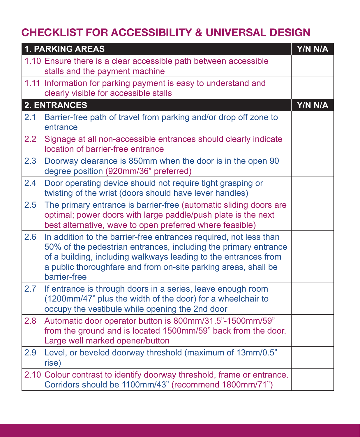|     | <b>1. PARKING AREAS</b>                                                                                                                                                                                                                                                                   | Y/N N/A |
|-----|-------------------------------------------------------------------------------------------------------------------------------------------------------------------------------------------------------------------------------------------------------------------------------------------|---------|
|     | 1.10 Ensure there is a clear accessible path between accessible<br>stalls and the payment machine                                                                                                                                                                                         |         |
|     | 1.11 Information for parking payment is easy to understand and<br>clearly visible for accessible stalls                                                                                                                                                                                   |         |
|     | <b>2. ENTRANCES</b>                                                                                                                                                                                                                                                                       | Y/N N/A |
| 2.1 | Barrier-free path of travel from parking and/or drop off zone to<br>entrance                                                                                                                                                                                                              |         |
| 2.2 | Signage at all non-accessible entrances should clearly indicate<br>location of barrier-free entrance                                                                                                                                                                                      |         |
| 2.3 | Doorway clearance is 850mm when the door is in the open 90<br>degree position (920mm/36" preferred)                                                                                                                                                                                       |         |
| 2.4 | Door operating device should not require tight grasping or<br>twisting of the wrist (doors should have lever handles)                                                                                                                                                                     |         |
| 2.5 | The primary entrance is barrier-free (automatic sliding doors are<br>optimal; power doors with large paddle/push plate is the next<br>best alternative, wave to open preferred where feasible)                                                                                            |         |
| 2.6 | In addition to the barrier-free entrances required, not less than<br>50% of the pedestrian entrances, including the primary entrance<br>of a building, including walkways leading to the entrances from<br>a public thoroughfare and from on-site parking areas, shall be<br>barrier-free |         |
| 2.7 | If entrance is through doors in a series, leave enough room<br>(1200mm/47" plus the width of the door) for a wheelchair to<br>occupy the vestibule while opening the 2nd door                                                                                                             |         |
| 2.8 | Automatic door operator button is 800mm/31.5"-1500mm/59"<br>from the ground and is located 1500mm/59" back from the door.<br>Large well marked opener/button                                                                                                                              |         |
| 2.9 | Level, or beveled doorway threshold (maximum of 13mm/0.5"<br>rise)                                                                                                                                                                                                                        |         |
|     | 2.10 Colour contrast to identify doorway threshold, frame or entrance.<br>Corridors should be 1100mm/43" (recommend 1800mm/71")                                                                                                                                                           |         |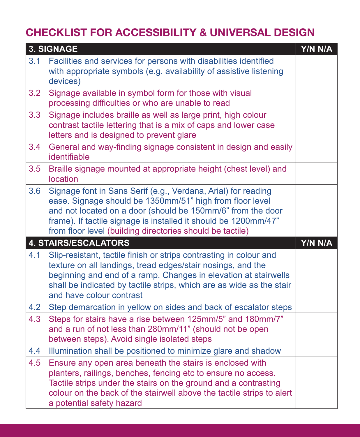|     | 3. SIGNAGE                                                                                                                                                                                                                                                                                                               | Y/N N/A |
|-----|--------------------------------------------------------------------------------------------------------------------------------------------------------------------------------------------------------------------------------------------------------------------------------------------------------------------------|---------|
| 3.1 | Facilities and services for persons with disabilities identified<br>with appropriate symbols (e.g. availability of assistive listening<br>devices)                                                                                                                                                                       |         |
| 3.2 | Signage available in symbol form for those with visual<br>processing difficulties or who are unable to read                                                                                                                                                                                                              |         |
| 3.3 | Signage includes braille as well as large print, high colour<br>contrast tactile lettering that is a mix of caps and lower case<br>letters and is designed to prevent glare                                                                                                                                              |         |
| 3.4 | General and way-finding signage consistent in design and easily<br>identifiable                                                                                                                                                                                                                                          |         |
| 3.5 | Braille signage mounted at appropriate height (chest level) and<br>location                                                                                                                                                                                                                                              |         |
| 3.6 | Signage font in Sans Serif (e.g., Verdana, Arial) for reading<br>ease. Signage should be 1350mm/51" high from floor level<br>and not located on a door (should be 150mm/6" from the door<br>frame). If tactile signage is installed it should be 1200mm/47"<br>from floor level (building directories should be tactile) |         |
|     | <b>4. STAIRS/ESCALATORS</b>                                                                                                                                                                                                                                                                                              | Y/N N/A |
| 4.1 | Slip-resistant, tactile finish or strips contrasting in colour and<br>texture on all landings, tread edges/stair nosings, and the<br>beginning and end of a ramp. Changes in elevation at stairwells<br>shall be indicated by tactile strips, which are as wide as the stair<br>and have colour contrast                 |         |
| 4.2 | Step demarcation in yellow on sides and back of escalator steps                                                                                                                                                                                                                                                          |         |
| 4.3 | Steps for stairs have a rise between 125mm/5" and 180mm/7"<br>and a run of not less than 280mm/11" (should not be open<br>between steps). Avoid single isolated steps                                                                                                                                                    |         |
| 4.4 | Illumination shall be positioned to minimize glare and shadow                                                                                                                                                                                                                                                            |         |
| 4.5 | Ensure any open area beneath the stairs is enclosed with<br>planters, railings, benches, fencing etc to ensure no access.<br>Tactile strips under the stairs on the ground and a contrasting<br>colour on the back of the stairwell above the tactile strips to alert<br>a potential safety hazard                       |         |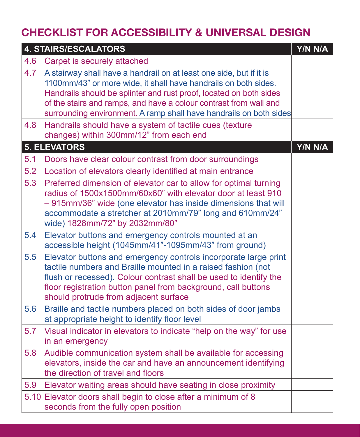|     | <b>4. STAIRS/ESCALATORS</b>                                                                                                                                                                                                                                                                                                                             | Y/N N/A |
|-----|---------------------------------------------------------------------------------------------------------------------------------------------------------------------------------------------------------------------------------------------------------------------------------------------------------------------------------------------------------|---------|
| 4.6 | Carpet is securely attached                                                                                                                                                                                                                                                                                                                             |         |
| 4.7 | A stairway shall have a handrail on at least one side, but if it is<br>1100mm/43" or more wide, it shall have handrails on both sides.<br>Handrails should be splinter and rust proof, located on both sides<br>of the stairs and ramps, and have a colour contrast from wall and<br>surrounding environment. A ramp shall have handrails on both sides |         |
| 4.8 | Handrails should have a system of tactile cues (texture<br>changes) within 300mm/12" from each end                                                                                                                                                                                                                                                      |         |
|     | <b>5. ELEVATORS</b>                                                                                                                                                                                                                                                                                                                                     | Y/N N/A |
| 5.1 | Doors have clear colour contrast from door surroundings                                                                                                                                                                                                                                                                                                 |         |
| 5.2 | Location of elevators clearly identified at main entrance                                                                                                                                                                                                                                                                                               |         |
| 5.3 | Preferred dimension of elevator car to allow for optimal turning<br>radius of 1500x1500mm/60x60" with elevator door at least 910<br>- 915mm/36" wide (one elevator has inside dimensions that will<br>accommodate a stretcher at 2010mm/79" long and 610mm/24"<br>wide) 1828mm/72" by 2032mm/80"                                                        |         |
| 5.4 | Elevator buttons and emergency controls mounted at an<br>accessible height (1045mm/41"-1095mm/43" from ground)                                                                                                                                                                                                                                          |         |
| 5.5 | Elevator buttons and emergency controls incorporate large print<br>tactile numbers and Braille mounted in a raised fashion (not<br>flush or recessed). Colour contrast shall be used to identify the<br>floor registration button panel from background, call buttons<br>should protrude from adjacent surface                                          |         |
| 5.6 | Braille and tactile numbers placed on both sides of door jambs<br>at appropriate height to identify floor level                                                                                                                                                                                                                                         |         |
| 5.7 | Visual indicator in elevators to indicate "help on the way" for use<br>in an emergency                                                                                                                                                                                                                                                                  |         |
| 5.8 | Audible communication system shall be available for accessing<br>elevators, inside the car and have an announcement identifying<br>the direction of travel and floors                                                                                                                                                                                   |         |
| 5.9 | Elevator waiting areas should have seating in close proximity                                                                                                                                                                                                                                                                                           |         |
|     | 5.10 Elevator doors shall begin to close after a minimum of 8<br>seconds from the fully open position                                                                                                                                                                                                                                                   |         |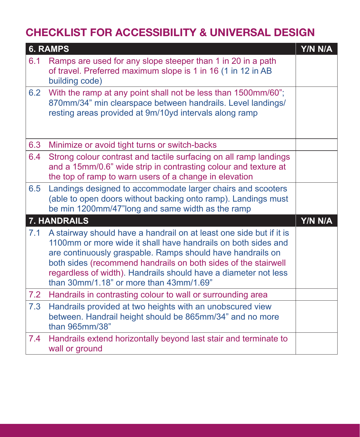|     | <b>6. RAMPS</b>                                                                                                                                                                                                                                                                                                                                                                    | Y/N N/A |
|-----|------------------------------------------------------------------------------------------------------------------------------------------------------------------------------------------------------------------------------------------------------------------------------------------------------------------------------------------------------------------------------------|---------|
| 6.1 | Ramps are used for any slope steeper than 1 in 20 in a path<br>of travel. Preferred maximum slope is 1 in 16 (1 in 12 in AB<br>building code)                                                                                                                                                                                                                                      |         |
| 6.2 | With the ramp at any point shall not be less than 1500mm/60";<br>870mm/34" min clearspace between handrails. Level landings/<br>resting areas provided at 9m/10yd intervals along ramp                                                                                                                                                                                             |         |
| 6.3 | Minimize or avoid tight turns or switch-backs                                                                                                                                                                                                                                                                                                                                      |         |
| 6.4 | Strong colour contrast and tactile surfacing on all ramp landings<br>and a 15mm/0.6" wide strip in contrasting colour and texture at<br>the top of ramp to warn users of a change in elevation                                                                                                                                                                                     |         |
| 6.5 | Landings designed to accommodate larger chairs and scooters<br>(able to open doors without backing onto ramp). Landings must<br>be min 1200mm/47"long and same width as the ramp                                                                                                                                                                                                   |         |
|     | 7. HANDRAILS                                                                                                                                                                                                                                                                                                                                                                       | Y/N N/A |
| 7.1 | A stairway should have a handrail on at least one side but if it is<br>1100mm or more wide it shall have handrails on both sides and<br>are continuously graspable. Ramps should have handrails on<br>both sides (recommend handrails on both sides of the stairwell<br>regardless of width). Handrails should have a diameter not less<br>than 30mm/1.18" or more than 43mm/1.69" |         |
| 7.2 | Handrails in contrasting colour to wall or surrounding area                                                                                                                                                                                                                                                                                                                        |         |
| 7.3 | Handrails provided at two heights with an unobscured view<br>between. Handrail height should be 865mm/34" and no more<br>than 965mm/38"                                                                                                                                                                                                                                            |         |
| 7.4 | Handrails extend horizontally beyond last stair and terminate to<br>wall or ground                                                                                                                                                                                                                                                                                                 |         |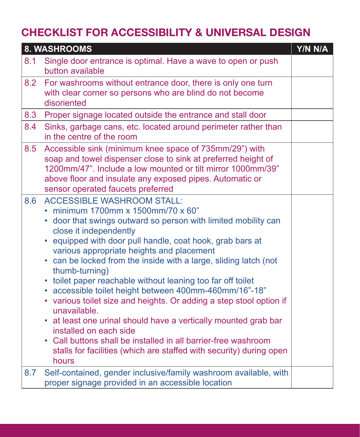|     | 8. WASHROOMS                                                                                                                                                                                                                                                                                                                                                                                                                                                                                                                                                                                                                                                                                                                                                                                                                                          | Y/N N/A |
|-----|-------------------------------------------------------------------------------------------------------------------------------------------------------------------------------------------------------------------------------------------------------------------------------------------------------------------------------------------------------------------------------------------------------------------------------------------------------------------------------------------------------------------------------------------------------------------------------------------------------------------------------------------------------------------------------------------------------------------------------------------------------------------------------------------------------------------------------------------------------|---------|
| 8.1 | Single door entrance is optimal. Have a wave to open or push<br>button available                                                                                                                                                                                                                                                                                                                                                                                                                                                                                                                                                                                                                                                                                                                                                                      |         |
| 8.2 | For washrooms without entrance door, there is only one turn<br>with clear corner so persons who are blind do not become<br>disoriented                                                                                                                                                                                                                                                                                                                                                                                                                                                                                                                                                                                                                                                                                                                |         |
| 8.3 | Proper signage located outside the entrance and stall door                                                                                                                                                                                                                                                                                                                                                                                                                                                                                                                                                                                                                                                                                                                                                                                            |         |
| 8.4 | Sinks, garbage cans, etc. located around perimeter rather than<br>in the centre of the room                                                                                                                                                                                                                                                                                                                                                                                                                                                                                                                                                                                                                                                                                                                                                           |         |
| 8.5 | Accessible sink (minimum knee space of 735mm/29") with<br>soap and towel dispenser close to sink at preferred height of<br>1200mm/47". Include a low mounted or tilt mirror 1000mm/39"<br>above floor and insulate any exposed pipes. Automatic or<br>sensor operated faucets preferred                                                                                                                                                                                                                                                                                                                                                                                                                                                                                                                                                               |         |
| 8.6 | <b>ACCESSIBLE WASHROOM STALL:</b><br>• minimum 1700mm x 1500mm/70 x 60"<br>door that swings outward so person with limited mobility can<br>close it independently<br>equipped with door pull handle, coat hook, grab bars at<br>various appropriate heights and placement<br>can be locked from the inside with a large, sliding latch (not<br>thumb-turning)<br>toilet paper reachable without leaning too far off toilet<br>٠<br>accessible toilet height between 400mm-460mm/16"-18"<br>$\bullet$<br>various toilet size and heights. Or adding a step stool option if<br>$\bullet$<br>unavailable.<br>• at least one urinal should have a vertically mounted grab bar<br>installed on each side<br>• Call buttons shall be installed in all barrier-free washroom<br>stalls for facilities (which are staffed with security) during open<br>hours |         |
| 8.7 | Self-contained, gender inclusive/family washroom available, with<br>proper signage provided in an accessible location                                                                                                                                                                                                                                                                                                                                                                                                                                                                                                                                                                                                                                                                                                                                 |         |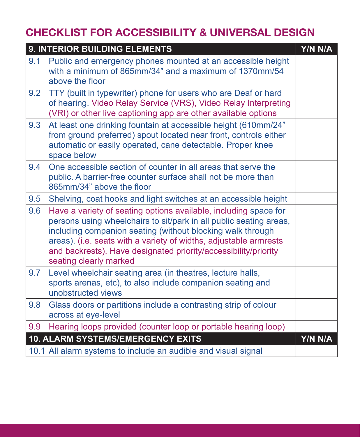|     | 9. INTERIOR BUILDING ELEMENTS                                                                                                                                                                                                                                                                                                                                          | Y/N N/A |
|-----|------------------------------------------------------------------------------------------------------------------------------------------------------------------------------------------------------------------------------------------------------------------------------------------------------------------------------------------------------------------------|---------|
| 9.1 | Public and emergency phones mounted at an accessible height<br>with a minimum of 865mm/34" and a maximum of 1370mm/54<br>above the floor                                                                                                                                                                                                                               |         |
| 9.2 | TTY (built in typewriter) phone for users who are Deaf or hard<br>of hearing. Video Relay Service (VRS), Video Relay Interpreting<br>(VRI) or other live captioning app are other available options                                                                                                                                                                    |         |
| 9.3 | At least one drinking fountain at accessible height (610mm/24"<br>from ground preferred) spout located near front, controls either<br>automatic or easily operated, cane detectable. Proper knee<br>space below                                                                                                                                                        |         |
| 9.4 | One accessible section of counter in all areas that serve the<br>public. A barrier-free counter surface shall not be more than<br>865mm/34" above the floor                                                                                                                                                                                                            |         |
| 9.5 | Shelving, coat hooks and light switches at an accessible height                                                                                                                                                                                                                                                                                                        |         |
| 9.6 | Have a variety of seating options available, including space for<br>persons using wheelchairs to sit/park in all public seating areas,<br>including companion seating (without blocking walk through<br>areas). (i.e. seats with a variety of widths, adjustable armrests<br>and backrests). Have designated priority/accessibility/priority<br>seating clearly marked |         |
| 9.7 | Level wheelchair seating area (in theatres, lecture halls,<br>sports arenas, etc), to also include companion seating and<br>unobstructed views                                                                                                                                                                                                                         |         |
| 9.8 | Glass doors or partitions include a contrasting strip of colour<br>across at eye-level                                                                                                                                                                                                                                                                                 |         |
| 9.9 | Hearing loops provided (counter loop or portable hearing loop)                                                                                                                                                                                                                                                                                                         |         |
|     | <b>10. ALARM SYSTEMS/EMERGENCY EXITS</b>                                                                                                                                                                                                                                                                                                                               | Y/N N/A |
|     | 10.1 All alarm systems to include an audible and visual signal                                                                                                                                                                                                                                                                                                         |         |